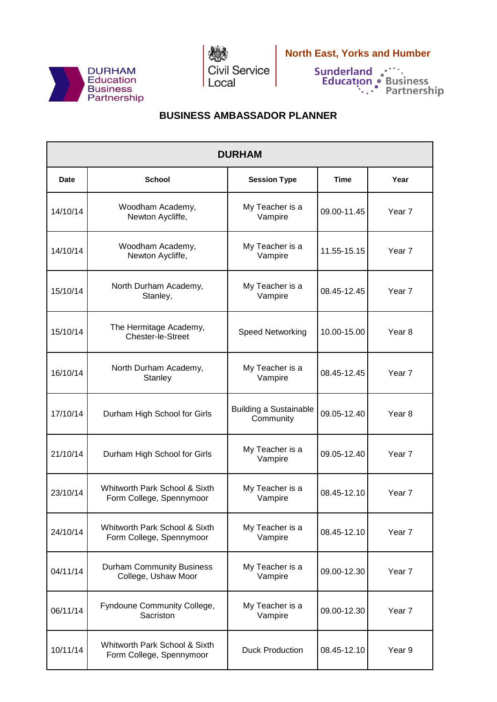



 **North East, Yorks and Humber**

## **BUSINESS AMBASSADOR PLANNER**

| <b>DURHAM</b> |                                                           |                                            |             |                   |  |  |  |
|---------------|-----------------------------------------------------------|--------------------------------------------|-------------|-------------------|--|--|--|
| Date          | <b>School</b>                                             | <b>Session Type</b>                        | <b>Time</b> | Year              |  |  |  |
| 14/10/14      | Woodham Academy,<br>Newton Aycliffe,                      | My Teacher is a<br>Vampire                 | 09.00-11.45 | Year 7            |  |  |  |
| 14/10/14      | Woodham Academy,<br>Newton Aycliffe,                      | My Teacher is a<br>Vampire                 | 11.55-15.15 | Year 7            |  |  |  |
| 15/10/14      | North Durham Academy,<br>Stanley,                         | My Teacher is a<br>Vampire                 | 08.45-12.45 | Year <sub>7</sub> |  |  |  |
| 15/10/14      | The Hermitage Academy,<br>Chester-le-Street               | <b>Speed Networking</b>                    | 10.00-15.00 | Year <sub>8</sub> |  |  |  |
| 16/10/14      | North Durham Academy,<br><b>Stanley</b>                   | My Teacher is a<br>Vampire                 | 08.45-12.45 | Year <sub>7</sub> |  |  |  |
| 17/10/14      | Durham High School for Girls                              | <b>Building a Sustainable</b><br>Community | 09.05-12.40 | Year <sub>8</sub> |  |  |  |
| 21/10/14      | Durham High School for Girls                              | My Teacher is a<br>Vampire                 | 09.05-12.40 | Year <sub>7</sub> |  |  |  |
| 23/10/14      | Whitworth Park School & Sixth<br>Form College, Spennymoor | My Teacher is a<br>Vampire                 | 08.45-12.10 | Year <sub>7</sub> |  |  |  |
| 24/10/14      | Whitworth Park School & Sixth<br>Form College, Spennymoor | My Teacher is a<br>Vampire                 | 08.45-12.10 | Year 7            |  |  |  |
| 04/11/14      | <b>Durham Community Business</b><br>College, Ushaw Moor   | My Teacher is a<br>Vampire                 | 09.00-12.30 | Year 7            |  |  |  |
| 06/11/14      | Fyndoune Community College,<br>Sacriston                  | My Teacher is a<br>Vampire                 | 09.00-12.30 | Year <sub>7</sub> |  |  |  |
| 10/11/14      | Whitworth Park School & Sixth<br>Form College, Spennymoor | <b>Duck Production</b>                     | 08.45-12.10 | Year 9            |  |  |  |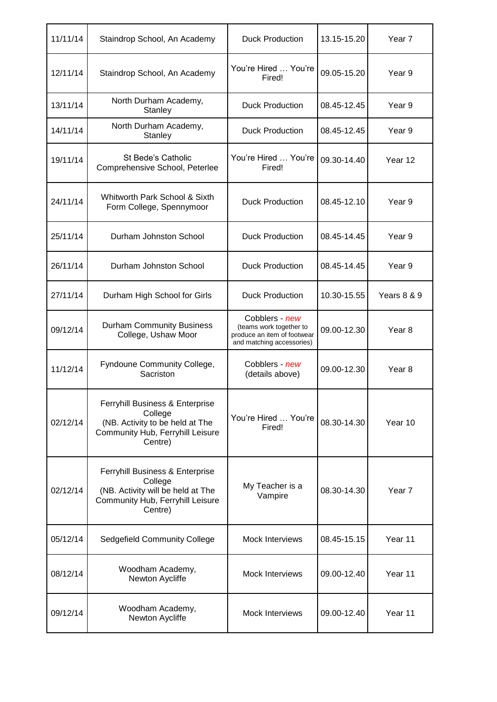| 11/11/14 | Staindrop School, An Academy                                                                                                   | <b>Duck Production</b>                                                                                | 13.15-15.20 | Year 7            |
|----------|--------------------------------------------------------------------------------------------------------------------------------|-------------------------------------------------------------------------------------------------------|-------------|-------------------|
| 12/11/14 | Staindrop School, An Academy                                                                                                   | You're Hired  You're<br>Fired!                                                                        | 09.05-15.20 | Year 9            |
| 13/11/14 | North Durham Academy,<br>Stanley                                                                                               | <b>Duck Production</b>                                                                                | 08.45-12.45 | Year 9            |
| 14/11/14 | North Durham Academy,<br>Stanley                                                                                               | <b>Duck Production</b>                                                                                | 08.45-12.45 | Year 9            |
| 19/11/14 | St Bede's Catholic<br>Comprehensive School, Peterlee                                                                           | You're Hired  You're<br>Fired!                                                                        | 09.30-14.40 | Year 12           |
| 24/11/14 | Whitworth Park School & Sixth<br>Form College, Spennymoor                                                                      | <b>Duck Production</b>                                                                                | 08.45-12.10 | Year 9            |
| 25/11/14 | Durham Johnston School                                                                                                         | <b>Duck Production</b>                                                                                | 08.45-14.45 | Year 9            |
| 26/11/14 | Durham Johnston School                                                                                                         | <b>Duck Production</b>                                                                                | 08.45-14.45 | Year 9            |
| 27/11/14 | Durham High School for Girls                                                                                                   | <b>Duck Production</b>                                                                                | 10.30-15.55 | Years 8 & 9       |
| 09/12/14 | <b>Durham Community Business</b><br>College, Ushaw Moor                                                                        | Cobblers - new<br>(teams work together to<br>produce an item of footwear<br>and matching accessories) | 09.00-12.30 | Year 8            |
| 11/12/14 | Fyndoune Community College,<br>Sacriston                                                                                       | Cobblers - new<br>(details above)                                                                     | 09.00-12.30 | Year 8            |
| 02/12/14 | Ferryhill Business & Enterprise<br>College<br>(NB. Activity to be held at The<br>Community Hub, Ferryhill Leisure<br>Centre)   | You're Hired  You're<br>Fired!                                                                        | 08.30-14.30 | Year 10           |
| 02/12/14 | Ferryhill Business & Enterprise<br>College<br>(NB. Activity will be held at The<br>Community Hub, Ferryhill Leisure<br>Centre) | My Teacher is a<br>Vampire                                                                            | 08.30-14.30 | Year <sub>7</sub> |
| 05/12/14 | Sedgefield Community College                                                                                                   | <b>Mock Interviews</b>                                                                                | 08.45-15.15 | Year 11           |
| 08/12/14 | Woodham Academy,<br>Newton Aycliffe                                                                                            | <b>Mock Interviews</b>                                                                                | 09.00-12.40 | Year 11           |
| 09/12/14 | Woodham Academy,<br>Newton Aycliffe                                                                                            | Mock Interviews                                                                                       | 09.00-12.40 | Year 11           |